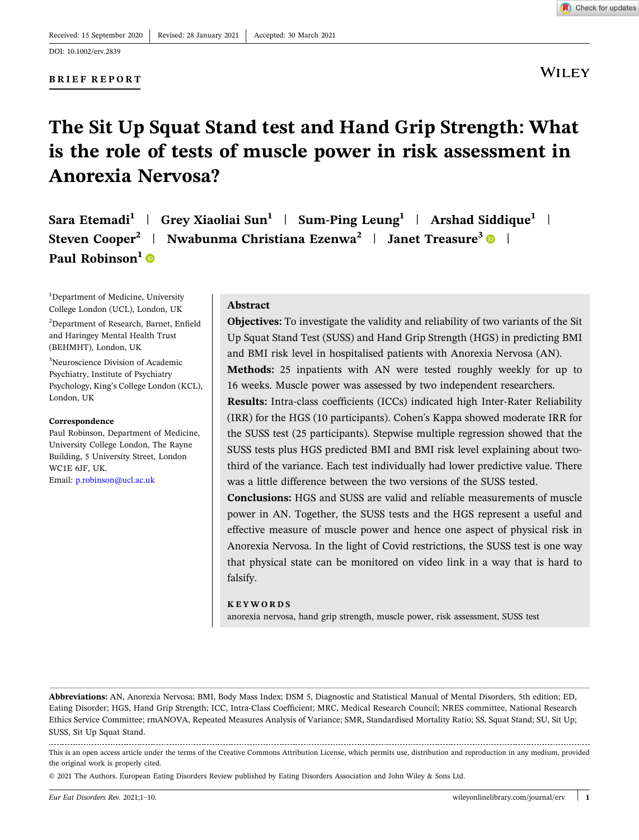### **BRIEF REPORT**

# **WILEY**

## **The Sit Up Squat Stand test and Hand Grip Strength: What is the role of tests of muscle power in risk assessment in Anorexia Nervosa?**

**Sara Etemadi1** | **Grey Xiaoliai Sun1** | **Sum‐Ping Leung<sup>1</sup>** | **Arshad Siddique1** | **Steven Cooper2** | **Nwabunma Christiana Ezenwa<sup>2</sup>** | **Janet Treasure<sup>3</sup>** | **Paul Robinson<sup>1</sup>** 

<sup>1</sup>Department of Medicine, University College London (UCL), London, UK

2 Department of Research, Barnet, Enfield and Haringey Mental Health Trust (BEHMHT), London, UK

3 Neuroscience Division of Academic Psychiatry, Institute of Psychiatry Psychology, King's College London (KCL), London, UK

#### **Correspondence**

Paul Robinson, Department of Medicine, University College London, The Rayne Building, 5 University Street, London WC1E 6JF, UK. Email: [p.robinson@ucl.ac.uk](mailto:p.robinson@ucl.ac.uk)

#### **Abstract**

**Objectives:** To investigate the validity and reliability of two variants of the Sit Up Squat Stand Test (SUSS) and Hand Grip Strength (HGS) in predicting BMI and BMI risk level in hospitalised patients with Anorexia Nervosa (AN).

**Methods:** 25 inpatients with AN were tested roughly weekly for up to 16 weeks. Muscle power was assessed by two independent researchers.

**Results:** Intra‐class coefficients (ICCs) indicated high Inter‐Rater Reliability (IRR) for the HGS (10 participants). Cohen's Kappa showed moderate IRR for the SUSS test (25 participants). Stepwise multiple regression showed that the SUSS tests plus HGS predicted BMI and BMI risk level explaining about two‐ third of the variance. Each test individually had lower predictive value. There was a little difference between the two versions of the SUSS tested.

**Conclusions:** HGS and SUSS are valid and reliable measurements of muscle power in AN. Together, the SUSS tests and the HGS represent a useful and effective measure of muscle power and hence one aspect of physical risk in Anorexia Nervosa. In the light of Covid restrictions, the SUSS test is one way that physical state can be monitored on video link in a way that is hard to falsify.

#### **KEYWORDS**

anorexia nervosa, hand grip strength, muscle power, risk assessment, SUSS test

**Abbreviations:** AN, Anorexia Nervosa; BMI, Body Mass Index; DSM 5, Diagnostic and Statistical Manual of Mental Disorders, 5th edition; ED, Eating Disorder; HGS, Hand Grip Strength; ICC, Intra‐Class Coefficient; MRC, Medical Research Council; NRES committee, National Research Ethics Service Committee; rmANOVA, Repeated Measures Analysis of Variance; SMR, Standardised Mortality Ratio; SS, Squat Stand; SU, Sit Up; SUSS, Sit Up Squat Stand.

This is an open access article under the terms of the Creative Commons Attribution License, which permits use, distribution and reproduction in any medium, provided the original work is properly cited.

© 2021 The Authors. European Eating Disorders Review published by Eating Disorders Association and John Wiley & Sons Ltd.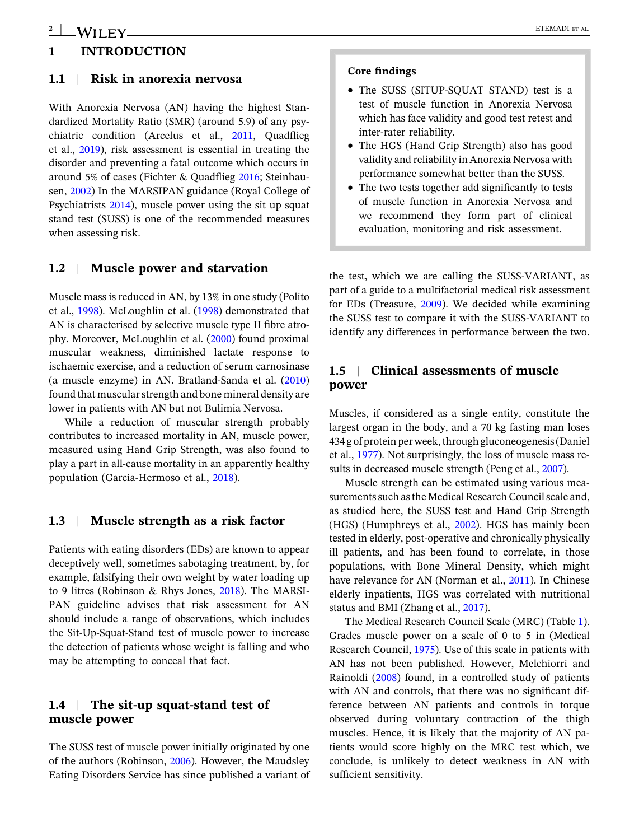## **1** <sup>|</sup> **INTRODUCTION**

### **1.1** <sup>|</sup> **Risk in anorexia nervosa**

With Anorexia Nervosa (AN) having the highest Standardized Mortality Ratio (SMR) (around 5.9) of any psychiatric condition (Arcelus et al., [2011](#page-8-0), Quadflieg et al., [2019\)](#page-8-0), risk assessment is essential in treating the disorder and preventing a fatal outcome which occurs in around 5% of cases (Fichter & Quadflieg [2016](#page-8-0); Steinhausen, [2002](#page-9-0)) In the MARSIPAN guidance (Royal College of Psychiatrists [2014\)](#page-9-0), muscle power using the sit up squat stand test (SUSS) is one of the recommended measures when assessing risk.

### **1.2** <sup>|</sup> **Muscle power and starvation**

Muscle mass is reduced in AN, by 13% in one study (Polito et al., [1998](#page-8-0)). McLoughlin et al. ([1998\)](#page-8-0) demonstrated that AN is characterised by selective muscle type II fibre atrophy. Moreover, McLoughlin et al. [\(2000\)](#page-8-0) found proximal muscular weakness, diminished lactate response to ischaemic exercise, and a reduction of serum carnosinase (a muscle enzyme) in AN. Bratland‐Sanda et al. [\(2010](#page-8-0)) found that muscular strength and bone mineral density are lower in patients with AN but not Bulimia Nervosa.

While a reduction of muscular strength probably contributes to increased mortality in AN, muscle power, measured using Hand Grip Strength, was also found to play a part in all‐cause mortality in an apparently healthy population (García‐Hermoso et al., [2018\)](#page-8-0).

### **1.3** <sup>|</sup> **Muscle strength as a risk factor**

Patients with eating disorders (EDs) are known to appear deceptively well, sometimes sabotaging treatment, by, for example, falsifying their own weight by water loading up to 9 litres (Robinson & Rhys Jones, [2018](#page-9-0)). The MARSI-PAN guideline advises that risk assessment for AN should include a range of observations, which includes the Sit‐Up‐Squat‐Stand test of muscle power to increase the detection of patients whose weight is falling and who may be attempting to conceal that fact.

### **1.4** <sup>|</sup> **The sit‐up squat‐stand test of muscle power**

The SUSS test of muscle power initially originated by one of the authors (Robinson, [2006](#page-8-0)). However, the Maudsley Eating Disorders Service has since published a variant of

### **Core findings**

- � The SUSS (SITUP‐SQUAT STAND) test is a test of muscle function in Anorexia Nervosa which has face validity and good test retest and inter‐rater reliability.
- � The HGS (Hand Grip Strength) also has good validity and reliability in Anorexia Nervosa with performance somewhat better than the SUSS.
- � The two tests together add significantly to tests of muscle function in Anorexia Nervosa and we recommend they form part of clinical evaluation, monitoring and risk assessment.

the test, which we are calling the SUSS‐VARIANT, as part of a guide to a multifactorial medical risk assessment for EDs (Treasure, [2009\)](#page-9-0). We decided while examining the SUSS test to compare it with the SUSS‐VARIANT to identify any differences in performance between the two.

### **1.5** <sup>|</sup> **Clinical assessments of muscle power**

Muscles, if considered as a single entity, constitute the largest organ in the body, and a 70 kg fasting man loses 434 g of protein perweek,through gluconeogenesis(Daniel et al., [1977\)](#page-8-0). Not surprisingly, the loss of muscle mass results in decreased muscle strength (Peng et al., [2007\)](#page-8-0).

Muscle strength can be estimated using various measurements such as the Medical Research Council scale and, as studied here, the SUSS test and Hand Grip Strength (HGS) (Humphreys et al., [2002](#page-8-0)). HGS has mainly been tested in elderly, post‐operative and chronically physically ill patients, and has been found to correlate, in those populations, with Bone Mineral Density, which might have relevance for AN (Norman et al., [2011](#page-8-0)). In Chinese elderly inpatients, HGS was correlated with nutritional status and BMI (Zhang et al., [2017](#page-9-0)).

The Medical Research Council Scale (MRC) (Table [1\)](#page-2-0). Grades muscle power on a scale of 0 to 5 in (Medical Research Council, [1975\)](#page-8-0). Use of this scale in patients with AN has not been published. However, Melchiorri and Rainoldi [\(2008](#page-8-0)) found, in a controlled study of patients with AN and controls, that there was no significant difference between AN patients and controls in torque observed during voluntary contraction of the thigh muscles. Hence, it is likely that the majority of AN patients would score highly on the MRC test which, we conclude, is unlikely to detect weakness in AN with sufficient sensitivity.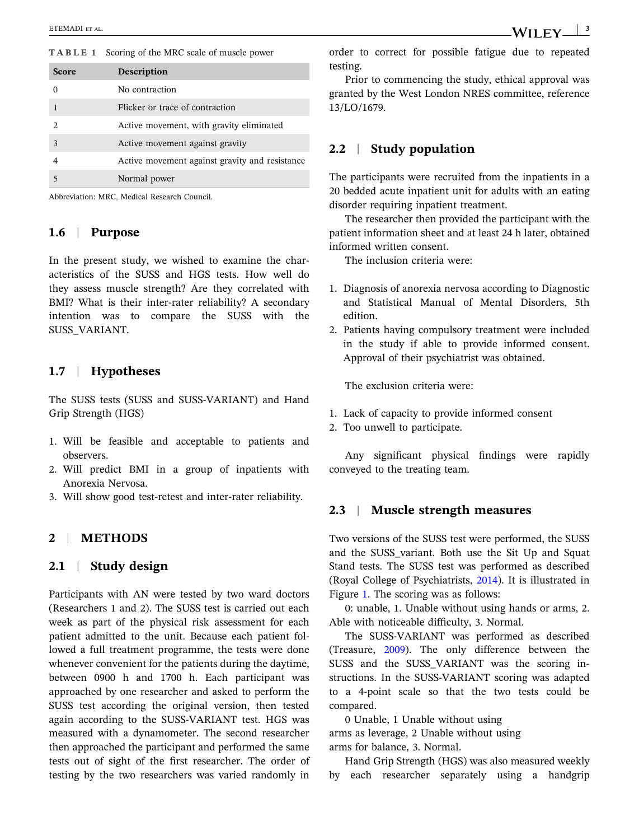<span id="page-2-0"></span>**TABLE 1** Scoring of the MRC scale of muscle power

| <b>Score</b>                | <b>Description</b>                             |
|-----------------------------|------------------------------------------------|
|                             | No contraction                                 |
|                             | Flicker or trace of contraction                |
| $\mathcal{D}_{\mathcal{L}}$ | Active movement, with gravity eliminated       |
| $\mathbf{3}$                | Active movement against gravity                |
|                             | Active movement against gravity and resistance |
|                             | Normal power                                   |

Abbreviation: MRC, Medical Research Council.

### **1.6** <sup>|</sup> **Purpose**

In the present study, we wished to examine the characteristics of the SUSS and HGS tests. How well do they assess muscle strength? Are they correlated with BMI? What is their inter-rater reliability? A secondary intention was to compare the SUSS with the SUSS\_VARIANT.

### **1.7** <sup>|</sup> **Hypotheses**

The SUSS tests (SUSS and SUSS‐VARIANT) and Hand Grip Strength (HGS)

- 1. Will be feasible and acceptable to patients and observers.
- 2. Will predict BMI in a group of inpatients with Anorexia Nervosa.
- 3. Will show good test‐retest and inter‐rater reliability.

### **2** <sup>|</sup> **METHODS**

### **2.1** <sup>|</sup> **Study design**

Participants with AN were tested by two ward doctors (Researchers 1 and 2). The SUSS test is carried out each week as part of the physical risk assessment for each patient admitted to the unit. Because each patient followed a full treatment programme, the tests were done whenever convenient for the patients during the daytime, between 0900 h and 1700 h. Each participant was approached by one researcher and asked to perform the SUSS test according the original version, then tested again according to the SUSS‐VARIANT test. HGS was measured with a dynamometer. The second researcher then approached the participant and performed the same tests out of sight of the first researcher. The order of testing by the two researchers was varied randomly in WILEY  $|^{3}$ 

order to correct for possible fatigue due to repeated

Prior to commencing the study, ethical approval was granted by the West London NRES committee, reference 13/LO/1679.

### **2.2** <sup>|</sup> **Study population**

testing.

The participants were recruited from the inpatients in a 20 bedded acute inpatient unit for adults with an eating disorder requiring inpatient treatment.

The researcher then provided the participant with the patient information sheet and at least 24 h later, obtained informed written consent.

The inclusion criteria were:

- 1. Diagnosis of anorexia nervosa according to Diagnostic and Statistical Manual of Mental Disorders, 5th edition.
- 2. Patients having compulsory treatment were included in the study if able to provide informed consent. Approval of their psychiatrist was obtained.

The exclusion criteria were:

- 1. Lack of capacity to provide informed consent
- 2. Too unwell to participate.

Any significant physical findings were rapidly conveyed to the treating team.

### **2.3** <sup>|</sup> **Muscle strength measures**

Two versions of the SUSS test were performed, the SUSS and the SUSS\_variant. Both use the Sit Up and Squat Stand tests. The SUSS test was performed as described (Royal College of Psychiatrists, [2014](#page-9-0)). It is illustrated in Figure [1.](#page-3-0) The scoring was as follows:

0: unable, 1. Unable without using hands or arms, 2. Able with noticeable difficulty, 3. Normal.

The SUSS‐VARIANT was performed as described (Treasure, [2009\)](#page-9-0). The only difference between the SUSS and the SUSS\_VARIANT was the scoring instructions. In the SUSS‐VARIANT scoring was adapted to a 4‐point scale so that the two tests could be compared.

0 Unable, 1 Unable without using arms as leverage, 2 Unable without using arms for balance, 3. Normal.

Hand Grip Strength (HGS) was also measured weekly by each researcher separately using a handgrip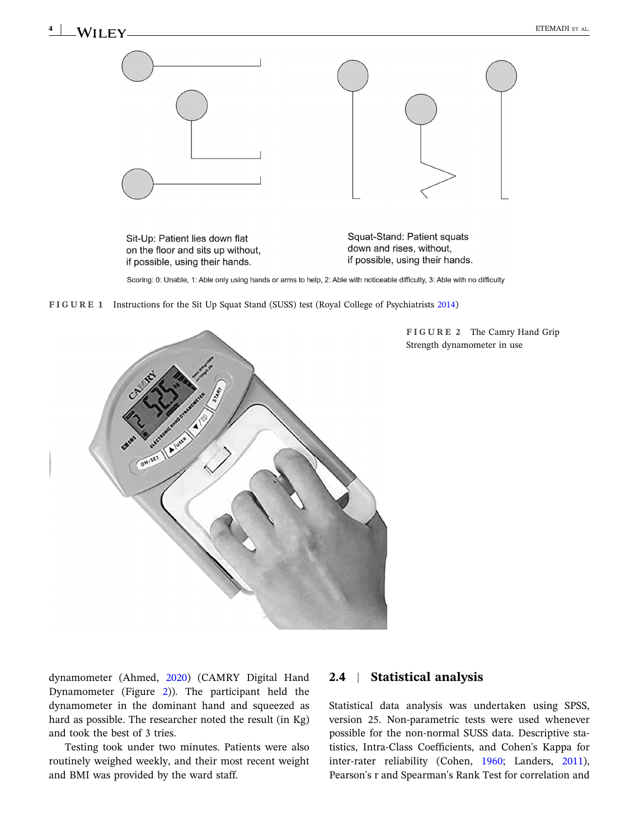<span id="page-3-0"></span>

Sit-Up: Patient lies down flat on the floor and sits up without, if possible, using their hands.

Squat-Stand: Patient squats down and rises, without, if possible, using their hands.

Scoring: 0: Unable, 1: Able only using hands or arms to help, 2: Able with noticeable difficulty, 3: Able with no difficulty

**FIGURE 1** Instructions for the Sit Up Squat Stand (SUSS) test (Royal College of Psychiatrists [2014](#page-9-0))



**FIGURE 2** The Camry Hand Grip Strength dynamometer in use

dynamometer (Ahmed, [2020](#page-8-0)) (CAMRY Digital Hand Dynamometer (Figure 2)). The participant held the dynamometer in the dominant hand and squeezed as hard as possible. The researcher noted the result (in Kg) and took the best of 3 tries.

Testing took under two minutes. Patients were also routinely weighed weekly, and their most recent weight and BMI was provided by the ward staff.

### **2.4** <sup>|</sup> **Statistical analysis**

Statistical data analysis was undertaken using SPSS, version 25. Non‐parametric tests were used whenever possible for the non‐normal SUSS data. Descriptive statistics, Intra‐Class Coefficients, and Cohen's Kappa for inter-rater reliability (Cohen, [1960;](#page-8-0) Landers, [2011\)](#page-8-0), Pearson's r and Spearman's Rank Test for correlation and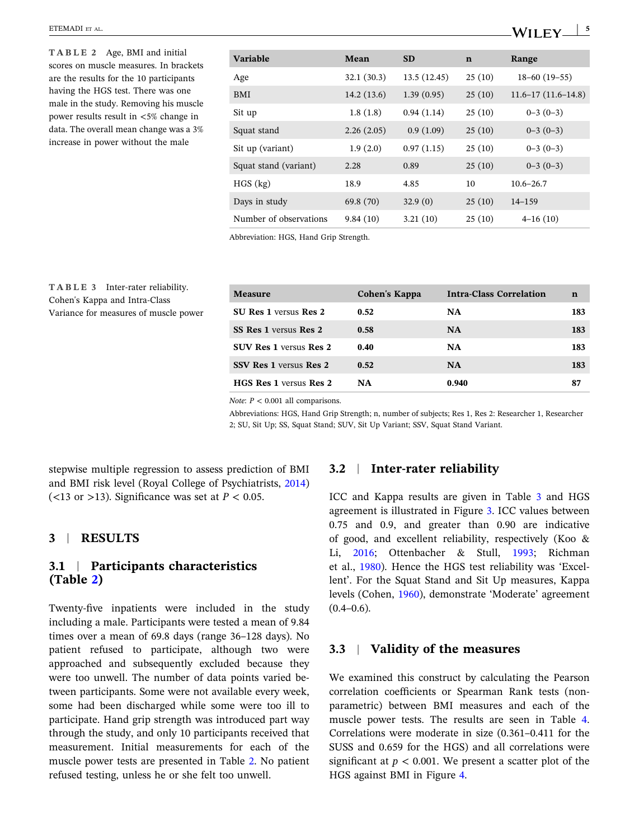#### <span id="page-4-0"></span>ETEMADI ET AL.

**TABLE 2** Age, BMI and initial scores on muscle measures. In brackets are the results for the 10 participants having the HGS test. There was one male in the study. Removing his muscle power results result in  $<5\%$  change in data. The overall mean change was a 3% increase in power without the male

**TABLE 3** Inter‐rater reliability. Cohen's Kappa and Intra‐Class Variance for measures of muscle power

| <b>Variable</b>        | Mean       | <b>SD</b>    | $\mathbf n$ | Range                    |
|------------------------|------------|--------------|-------------|--------------------------|
| Age                    | 32.1(30.3) | 13.5 (12.45) | 25(10)      | $18 - 60(19 - 55)$       |
| BMI                    | 14.2(13.6) | 1.39(0.95)   | 25(10)      | $11.6 - 17(11.6 - 14.8)$ |
| Sit up                 | 1.8(1.8)   | 0.94(1.14)   | 25(10)      | $0-3(0-3)$               |
| Squat stand            | 2.26(2.05) | 0.9(1.09)    | 25(10)      | $0-3(0-3)$               |
| Sit up (variant)       | 1.9(2.0)   | 0.97(1.15)   | 25(10)      | $0-3(0-3)$               |
| Squat stand (variant)  | 2.28       | 0.89         | 25(10)      | $0-3(0-3)$               |
| $HGS$ (kg)             | 18.9       | 4.85         | 10          | $10.6 - 26.7$            |
| Days in study          | 69.8 (70)  | 32.9(0)      | 25(10)      | $14 - 159$               |
| Number of observations | 9.84(10)   | 3.21(10)     | 25(10)      | $4-16(10)$               |

Abbreviation: HGS, Hand Grip Strength.

| <b>Measure</b>                | <b>Cohen's Kappa</b> | <b>Intra-Class Correlation</b> | n   |
|-------------------------------|----------------------|--------------------------------|-----|
| <b>SU Res 1 versus Res 2</b>  | 0.52                 | <b>NA</b>                      | 183 |
| SS Res 1 versus Res 2         | 0.58                 | <b>NA</b>                      | 183 |
| <b>SUV Res 1 versus Res 2</b> | 0.40                 | <b>NA</b>                      | 183 |
| <b>SSV Res 1 versus Res 2</b> | 0.52                 | <b>NA</b>                      | 183 |
| <b>HGS Res 1 versus Res 2</b> | <b>NA</b>            | 0.940                          | 87  |
|                               |                      |                                |     |

*Note*: *P* < 0.001 all comparisons.

Abbreviations: HGS, Hand Grip Strength; n, number of subjects; Res 1, Res 2: Researcher 1, Researcher 2; SU, Sit Up; SS, Squat Stand; SUV, Sit Up Variant; SSV, Squat Stand Variant.

stepwise multiple regression to assess prediction of BMI and BMI risk level (Royal College of Psychiatrists, [2014\)](#page-9-0) ( $\lt$ 13 or  $>$ 13). Significance was set at *P*  $<$  0.05.

### **3** <sup>|</sup> **RESULTS**

### **3.1** <sup>|</sup> **Participants characteristics (Table 2)**

Twenty-five inpatients were included in the study including a male. Participants were tested a mean of 9.84 times over a mean of 69.8 days (range 36–128 days). No patient refused to participate, although two were approached and subsequently excluded because they were too unwell. The number of data points varied between participants. Some were not available every week, some had been discharged while some were too ill to participate. Hand grip strength was introduced part way through the study, and only 10 participants received that measurement. Initial measurements for each of the muscle power tests are presented in Table 2. No patient refused testing, unless he or she felt too unwell.

### **3.2** <sup>|</sup> **Inter‐rater reliability**

ICC and Kappa results are given in Table 3 and HGS agreement is illustrated in Figure [3.](#page-5-0) ICC values between 0.75 and 0.9, and greater than 0.90 are indicative of good, and excellent reliability, respectively (Koo & Li, [2016;](#page-8-0) Ottenbacher & Stull, [1993](#page-8-0); Richman et al., [1980\)](#page-8-0). Hence the HGS test reliability was 'Excellent'. For the Squat Stand and Sit Up measures, Kappa levels (Cohen, [1960\)](#page-8-0), demonstrate 'Moderate' agreement  $(0.4-0.6)$ .

### **3.3** <sup>|</sup> **Validity of the measures**

We examined this construct by calculating the Pearson correlation coefficients or Spearman Rank tests (non‐ parametric) between BMI measures and each of the muscle power tests. The results are seen in Table [4](#page-5-0). Correlations were moderate in size (0.361–0.411 for the SUSS and 0.659 for the HGS) and all correlations were significant at  $p < 0.001$ . We present a scatter plot of the HGS against BMI in Figure [4](#page-5-0).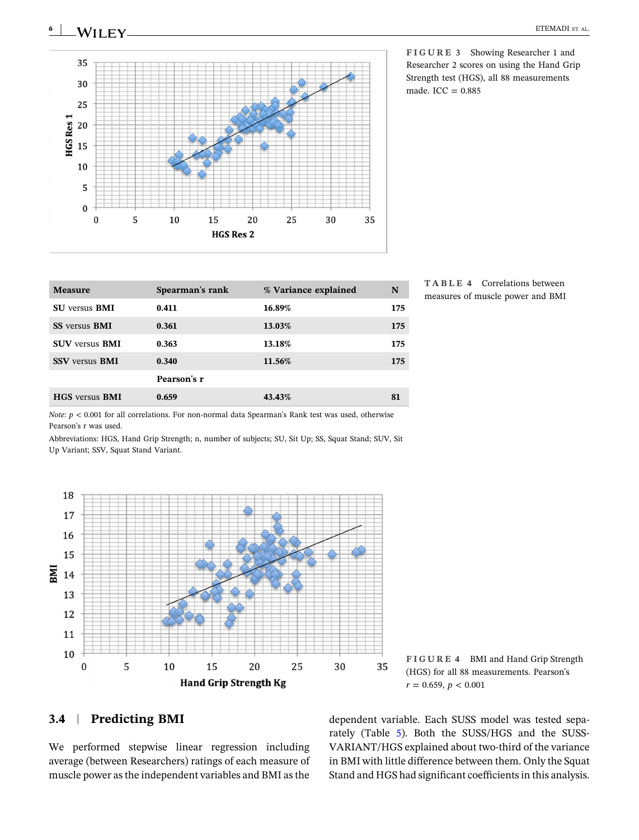<span id="page-5-0"></span>

**FIGURE 3** Showing Researcher 1 and Researcher 2 scores on using the Hand Grip Strength test (HGS), all 88 measurements made.  $ICC = 0.885$ 

| 16.89%<br>175<br>0.411<br><b>SU</b> versus <b>BMI</b>  | <b>Measure</b>              | Spearman's rank | % Variance explained | N   |
|--------------------------------------------------------|-----------------------------|-----------------|----------------------|-----|
|                                                        |                             |                 |                      |     |
|                                                        | <b>SS</b> versus <b>BMI</b> | 0.361           | 13.03%               | 175 |
| <b>SUV versus BMI</b><br>0.363<br>13.18%<br>175        |                             |                 |                      |     |
| 0.340<br><b>SSV</b> versus <b>BMI</b><br>11.56%<br>175 |                             |                 |                      |     |
| Pearson's r                                            |                             |                 |                      |     |
| 0.659<br>43.43%<br><b>HGS</b> versus <b>BMI</b><br>81  |                             |                 |                      |     |

**TABLE 4** Correlations between measures of muscle power and BMI

*Note*:  $p < 0.001$  for all correlations. For non-normal data Spearman's Rank test was used, otherwise Pearson's r was used.

Abbreviations: HGS, Hand Grip Strength; n, number of subjects; SU, Sit Up; SS, Squat Stand; SUV, Sit Up Variant; SSV, Squat Stand Variant.



**FIGURE 4** BMI and Hand Grip Strength (HGS) for all 88 measurements. Pearson's  $r = 0.659, p < 0.001$ 

### **3.4** <sup>|</sup> **Predicting BMI**

We performed stepwise linear regression including average (between Researchers) ratings of each measure of muscle power asthe independent variables and BMI asthe

dependent variable. Each SUSS model was tested separately (Table [5](#page-6-0)). Both the SUSS/HGS and the SUSS‐ VARIANT/HGS explained about two‐third of the variance in BMI with little difference between them. Only the Squat Stand and HGS had significant coefficients in this analysis.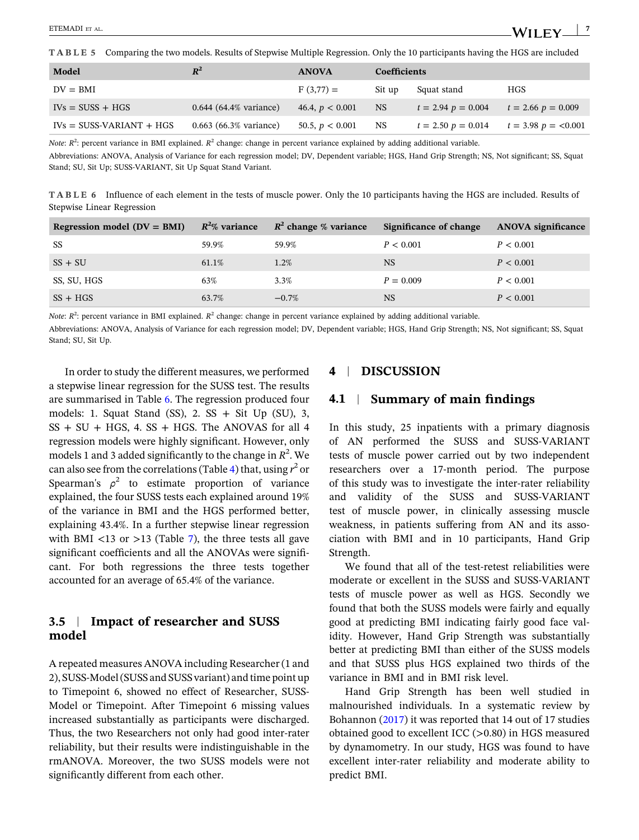<span id="page-6-0"></span>**TABLE 5** Comparing the two models. Results of Stepwise Multiple Regression. Only the 10 participants having the HGS are included

| Model                      | $R^2$                    | <b>ANOVA</b>      | <b>Coefficients</b> |                        |                         |
|----------------------------|--------------------------|-------------------|---------------------|------------------------|-------------------------|
| $DV = BMI$                 |                          | $F(3,77) =$       | Sit up              | Squat stand            | <b>HGS</b>              |
| $IVs = SUSS + HGS$         | $0.644$ (64.4% variance) | 46.4, $p < 0.001$ | NS.                 | $t = 2.94$ $p = 0.004$ | $t = 2.66$ $p = 0.009$  |
| $IVs = SUSS-VARIANT + HGS$ | $0.663$ (66.3% variance) | 50.5, $p < 0.001$ | <b>NS</b>           | $t = 2.50$ $p = 0.014$ | $t = 3.98$ $p = <0.001$ |

*Note*: *R*<sup>2</sup>: percent variance in BMI explained. *R*<sup>2</sup> change: change in percent variance explained by adding additional variable.

Abbreviations: ANOVA, Analysis of Variance for each regression model; DV, Dependent variable; HGS, Hand Grip Strength; NS, Not significant; SS, Squat Stand; SU, Sit Up; SUSS‐VARIANT, Sit Up Squat Stand Variant.

**TABLE 6** Influence of each element in the tests of muscle power. Only the 10 participants having the HGS are included. Results of Stepwise Linear Regression

| Regression model $(DV = BMI)$ | $R^2\%$ variance | $R^2$ change % variance | Significance of change | <b>ANOVA</b> significance |
|-------------------------------|------------------|-------------------------|------------------------|---------------------------|
| SS                            | 59.9%            | 59.9%                   | P < 0.001              | P < 0.001                 |
| $SS + SU$                     | 61.1%            | 1.2%                    | <b>NS</b>              | P < 0.001                 |
| SS, SU, HGS                   | 63%              | 3.3%                    | $P = 0.009$            | P < 0.001                 |
| $SS + HGS$                    | 63.7%            | $-0.7\%$                | <b>NS</b>              | P < 0.001                 |
|                               |                  |                         |                        |                           |

*Note*: *R*<sup>2</sup>: percent variance in BMI explained. *R*<sup>2</sup> change: change in percent variance explained by adding additional variable.

Abbreviations: ANOVA, Analysis of Variance for each regression model; DV, Dependent variable; HGS, Hand Grip Strength; NS, Not significant; SS, Squat Stand; SU, Sit Up.

In order to study the different measures, we performed a stepwise linear regression for the SUSS test. The results are summarised in Table 6. The regression produced four models: 1. Squat Stand  $(SS)$ , 2.  $SS + Sit$  Up  $(SU)$ , 3,  $SS + SU + HGS$ , 4.  $SS + HGS$ . The ANOVAS for all 4 regression models were highly significant. However, only models 1 and 3 added significantly to the change in  $R^2$ . We can also see from the correlations(Table [4](#page-5-0)) that, using *r* <sup>2</sup> or Spearman's  $\rho^2$  to estimate proportion of variance explained, the four SUSS tests each explained around 19% of the variance in BMI and the HGS performed better, explaining 43.4%. In a further stepwise linear regression with BMI  $\langle$ 13 or  $\rangle$ 13 (Table [7](#page-7-0)), the three tests all gave significant coefficients and all the ANOVAs were significant. For both regressions the three tests together accounted for an average of 65.4% of the variance.

### **3.5** <sup>|</sup> **Impact of researcher and SUSS model**

A repeated measures ANOVA including Researcher(1 and 2), SUSS‐Model(SUSS and SUSS variant) and time point up to Timepoint 6, showed no effect of Researcher, SUSS‐ Model or Timepoint. After Timepoint 6 missing values increased substantially as participants were discharged. Thus, the two Researchers not only had good inter‐rater reliability, but their results were indistinguishable in the rmANOVA. Moreover, the two SUSS models were not significantly different from each other.

### **4** <sup>|</sup> **DISCUSSION**

### **4.1** <sup>|</sup> **Summary of main findings**

In this study, 25 inpatients with a primary diagnosis of AN performed the SUSS and SUSS‐VARIANT tests of muscle power carried out by two independent researchers over a 17‐month period. The purpose of this study was to investigate the inter‐rater reliability and validity of the SUSS and SUSS‐VARIANT test of muscle power, in clinically assessing muscle weakness, in patients suffering from AN and its association with BMI and in 10 participants, Hand Grip Strength.

We found that all of the test-retest reliabilities were moderate or excellent in the SUSS and SUSS‐VARIANT tests of muscle power as well as HGS. Secondly we found that both the SUSS models were fairly and equally good at predicting BMI indicating fairly good face validity. However, Hand Grip Strength was substantially better at predicting BMI than either of the SUSS models and that SUSS plus HGS explained two thirds of the variance in BMI and in BMI risk level.

Hand Grip Strength has been well studied in malnourished individuals. In a systematic review by Bohannon [\(2017\)](#page-8-0) it was reported that 14 out of 17 studies obtained good to excellent ICC (>0.80) in HGS measured by dynamometry. In our study, HGS was found to have excellent inter‐rater reliability and moderate ability to predict BMI.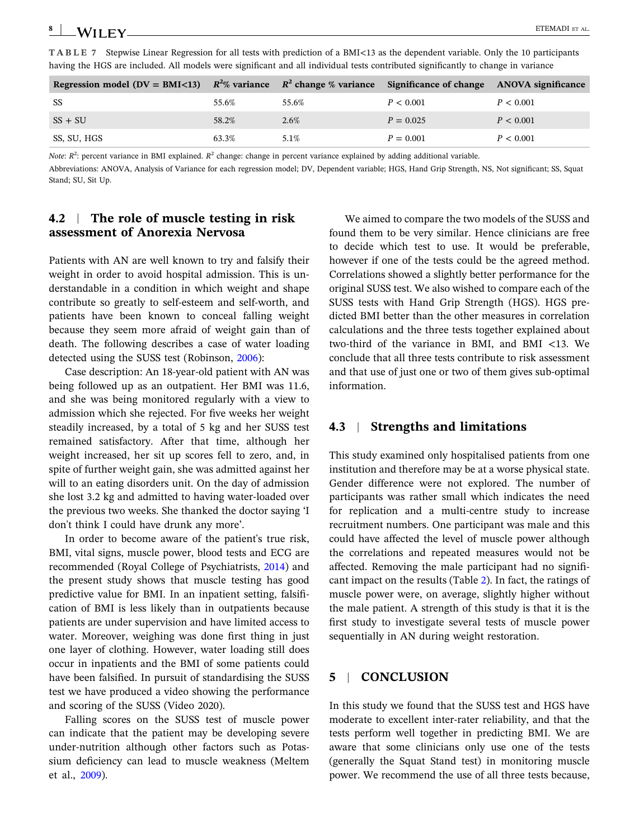<span id="page-7-0"></span>**TABLE 7** Stepwise Linear Regression for all tests with prediction of a BMI<13 as the dependent variable. Only the 10 participants having the HGS are included. All models were significant and all individual tests contributed significantly to change in variance

| Regression model (DV = BMI<13) $R^2\%$ variance $R^2$ change % variance Significance of change ANOVA significance |       |       |             |           |
|-------------------------------------------------------------------------------------------------------------------|-------|-------|-------------|-----------|
| SS                                                                                                                | 55.6% | 55.6% | P < 0.001   | P < 0.001 |
| $SS + SU$                                                                                                         | 58.2% | 2.6%  | $P = 0.025$ | P < 0.001 |
| SS, SU, HGS                                                                                                       | 63.3% | 5.1%  | $P = 0.001$ | P < 0.001 |

*Note*: *R*<sup>2</sup>: percent variance in BMI explained. *R*<sup>2</sup> change: change in percent variance explained by adding additional variable.

Abbreviations: ANOVA, Analysis of Variance for each regression model; DV, Dependent variable; HGS, Hand Grip Strength, NS, Not significant; SS, Squat Stand; SU, Sit Up.

### **4.2** <sup>|</sup> **The role of muscle testing in risk assessment of Anorexia Nervosa**

Patients with AN are well known to try and falsify their weight in order to avoid hospital admission. This is understandable in a condition in which weight and shape contribute so greatly to self‐esteem and self‐worth, and patients have been known to conceal falling weight because they seem more afraid of weight gain than of death. The following describes a case of water loading detected using the SUSS test (Robinson, [2006](#page-8-0)):

Case description: An 18‐year‐old patient with AN was being followed up as an outpatient. Her BMI was 11.6, and she was being monitored regularly with a view to admission which she rejected. For five weeks her weight steadily increased, by a total of 5 kg and her SUSS test remained satisfactory. After that time, although her weight increased, her sit up scores fell to zero, and, in spite of further weight gain, she was admitted against her will to an eating disorders unit. On the day of admission she lost 3.2 kg and admitted to having water‐loaded over the previous two weeks. She thanked the doctor saying 'I don't think I could have drunk any more'.

In order to become aware of the patient's true risk, BMI, vital signs, muscle power, blood tests and ECG are recommended (Royal College of Psychiatrists, [2014\)](#page-9-0) and the present study shows that muscle testing has good predictive value for BMI. In an inpatient setting, falsification of BMI is less likely than in outpatients because patients are under supervision and have limited access to water. Moreover, weighing was done first thing in just one layer of clothing. However, water loading still does occur in inpatients and the BMI of some patients could have been falsified. In pursuit of standardising the SUSS test we have produced a video showing the performance and scoring of the SUSS (Video 2020).

Falling scores on the SUSS test of muscle power can indicate that the patient may be developing severe under‐nutrition although other factors such as Potassium deficiency can lead to muscle weakness (Meltem et al., [2009\)](#page-8-0).

We aimed to compare the two models of the SUSS and found them to be very similar. Hence clinicians are free to decide which test to use. It would be preferable, however if one of the tests could be the agreed method. Correlations showed a slightly better performance for the original SUSS test. We also wished to compare each of the SUSS tests with Hand Grip Strength (HGS). HGS predicted BMI better than the other measures in correlation calculations and the three tests together explained about two-third of the variance in BMI, and BMI  $\lt$ 13. We conclude that all three tests contribute to risk assessment and that use of just one or two of them gives sub‐optimal information.

### **4.3** <sup>|</sup> **Strengths and limitations**

This study examined only hospitalised patients from one institution and therefore may be at a worse physical state. Gender difference were not explored. The number of participants was rather small which indicates the need for replication and a multi-centre study to increase recruitment numbers. One participant was male and this could have affected the level of muscle power although the correlations and repeated measures would not be affected. Removing the male participant had no significant impact on the results (Table [2](#page-4-0)). In fact, the ratings of muscle power were, on average, slightly higher without the male patient. A strength of this study is that it is the first study to investigate several tests of muscle power sequentially in AN during weight restoration.

### **5** <sup>|</sup> **CONCLUSION**

In this study we found that the SUSS test and HGS have moderate to excellent inter‐rater reliability, and that the tests perform well together in predicting BMI. We are aware that some clinicians only use one of the tests (generally the Squat Stand test) in monitoring muscle power. We recommend the use of all three tests because,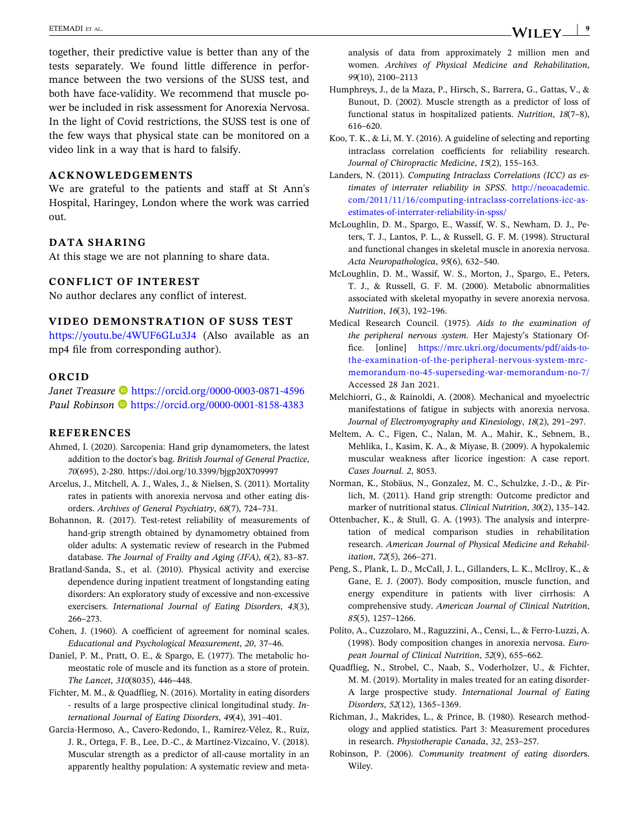<span id="page-8-0"></span>together, their predictive value is better than any of the tests separately. We found little difference in performance between the two versions of the SUSS test, and both have face‐validity. We recommend that muscle power be included in risk assessment for Anorexia Nervosa. In the light of Covid restrictions, the SUSS test is one of the few ways that physical state can be monitored on a video link in a way that is hard to falsify.

### **ACKNOWLEDGEMENTS**

We are grateful to the patients and staff at St Ann's Hospital, Haringey, London where the work was carried out.

### **DATA SHARING**

At this stage we are not planning to share data.

#### **CONFLICT OF INTEREST**

No author declares any conflict of interest.

### **VIDEO DEMONSTRATION OF SUSS TEST**

<https://youtu.be/4WUF6GLu3J4> (Also available as an mp4 file from corresponding author).

### **ORCID**

*Janet Treasure* **b** <https://orcid.org/0000-0003-0871-4596> **Paul Robinson D** <https://orcid.org/0000-0001-8158-4383>

#### **REFERENCES**

- Ahmed, I. (2020). Sarcopenia: Hand grip dynamometers, the latest addition to the doctor's bag. *British Journal of General Practice*, *70*(695), 2‐280. <https://doi.org/10.3399/bjgp20X709997>
- Arcelus, J., Mitchell, A. J., Wales, J., & Nielsen, S. (2011). Mortality rates in patients with anorexia nervosa and other eating disorders. *Archives of General Psychiatry*, *68*(7), 724–731.
- Bohannon, R. (2017). Test‐retest reliability of measurements of hand‐grip strength obtained by dynamometry obtained from older adults: A systematic review of research in the Pubmed database. *The Journal of Frailty and Aging (JFA)*, *6*(2), 83–87.
- Bratland‐Sanda, S., et al. (2010). Physical activity and exercise dependence during inpatient treatment of longstanding eating disorders: An exploratory study of excessive and non‐excessive exercisers. *International Journal of Eating Disorders*, *43*(3), 266–273.
- Cohen, J. (1960). A coefficient of agreement for nominal scales. *Educational and Psychological Measurement*, *20*, 37–46.
- Daniel, P. M., Pratt, O. E., & Spargo, E. (1977). The metabolic homeostatic role of muscle and its function as a store of protein. *The Lancet*, *310*(8035), 446–448.
- Fichter, M. M., & Quadflieg, N. (2016). Mortality in eating disorders ‐ results of a large prospective clinical longitudinal study. *International Journal of Eating Disorders*, *49*(4), 391–401.
- García‐Hermoso, A., Cavero‐Redondo, I., Ramírez‐Vélez, R., Ruiz, J. R., Ortega, F. B., Lee, D.‐C., & Martínez‐Vizcaíno, V. (2018). Muscular strength as a predictor of all‐cause mortality in an apparently healthy population: A systematic review and meta‐

analysis of data from approximately 2 million men and women. *Archives of Physical Medicine and Rehabilitation*, *99*(10), 2100–2113

- Humphreys, J., de la Maza, P., Hirsch, S., Barrera, G., Gattas, V., & Bunout, D. (2002). Muscle strength as a predictor of loss of functional status in hospitalized patients. *Nutrition*, *18*(7–8), 616–620.
- Koo, T. K., & Li, M. Y. (2016). A guideline of selecting and reporting intraclass correlation coefficients for reliability research. *Journal of Chiropractic Medicine*, *15*(2), 155–163.
- Landers, N. (2011). *Computing Intraclass Correlations (ICC) as estimates of interrater reliability in SPSS*. [http://neoacademic.](http://neoacademic.com/2011/11/16/computing-intraclass-correlations-icc-as-estimates-of-interrater-reliability-in-spss/) [com/2011/11/16/computing‐intraclass‐correlations‐icc‐as‐](http://neoacademic.com/2011/11/16/computing-intraclass-correlations-icc-as-estimates-of-interrater-reliability-in-spss/) [estimates‐of‐interrater‐reliability‐in‐spss/](http://neoacademic.com/2011/11/16/computing-intraclass-correlations-icc-as-estimates-of-interrater-reliability-in-spss/)
- McLoughlin, D. M., Spargo, E., Wassif, W. S., Newham, D. J., Peters, T. J., Lantos, P. L., & Russell, G. F. M. (1998). Structural and functional changes in skeletal muscle in anorexia nervosa. *Acta Neuropathologica*, *95*(6), 632–540.
- McLoughlin, D. M., Wassif, W. S., Morton, J., Spargo, E., Peters, T. J., & Russell, G. F. M. (2000). Metabolic abnormalities associated with skeletal myopathy in severe anorexia nervosa. *Nutrition*, *16*(3), 192–196.
- Medical Research Council. (1975). *Aids to the examination of the peripheral nervous system*. Her Majesty's Stationary Office. [online] https://mrc.ukri.org/documents/pdf/aids-to[the‐examination‐of‐the‐peripheral‐nervous‐system‐mrc‐](https://mrc.ukri.org/documents/pdf/aids-to-the-examination-of-the-peripheral-nervous-system-mrc-memorandum-no-45-superseding-war-memorandum-no-7/) [memorandum‐no‐45‐superseding‐war‐memorandum‐no‐7/](https://mrc.ukri.org/documents/pdf/aids-to-the-examination-of-the-peripheral-nervous-system-mrc-memorandum-no-45-superseding-war-memorandum-no-7/) Accessed 28 Jan 2021.
- Melchiorri, G., & Rainoldi, A. (2008). Mechanical and myoelectric manifestations of fatigue in subjects with anorexia nervosa. *Journal of Electromyography and Kinesiology*, *18*(2), 291–297.
- Meltem, A. C., Figen, C., Nalan, M. A., Mahir, K., Sebnem, B., Mehlika, I., Kasim, K. A., & Miyase, B. (2009). A hypokalemic muscular weakness after licorice ingestion: A case report. *Cases Journal*. *2*, 8053.
- Norman, K., Stobäus, N., Gonzalez, M. C., Schulzke, J.‐D., & Pirlich, M. (2011). Hand grip strength: Outcome predictor and marker of nutritional status. *Clinical Nutrition*, *30*(2), 135–142.
- Ottenbacher, K., & Stull, G. A. (1993). The analysis and interpretation of medical comparison studies in rehabilitation research. *American Journal of Physical Medicine and Rehabilitation*, *72*(5), 266–271.
- Peng, S., Plank, L. D., McCall, J. L., Gillanders, L. K., McIlroy, K., & Gane, E. J. (2007). Body composition, muscle function, and energy expenditure in patients with liver cirrhosis: A comprehensive study. *American Journal of Clinical Nutrition*, *85*(5), 1257–1266.
- Polito, A., Cuzzolaro, M., Raguzzini, A., Censi, L., & Ferro‐Luzzi, A. (1998). Body composition changes in anorexia nervosa. *European Journal of Clinical Nutrition*, *52*(9), 655–662.
- Quadflieg, N., Strobel, C., Naab, S., Voderholzer, U., & Fichter, M. M. (2019). Mortality in males treated for an eating disorder‐ A large prospective study. *International Journal of Eating Disorders*, *52*(12), 1365–1369.
- Richman, J., Makrides, L., & Prince, B. (1980). Research methodology and applied statistics. Part 3: Measurement procedures in research. *Physiotherapie Canada*, *32*, 253–257.
- Robinson, P. (2006). *Community treatment of eating disorder*s. Wiley.